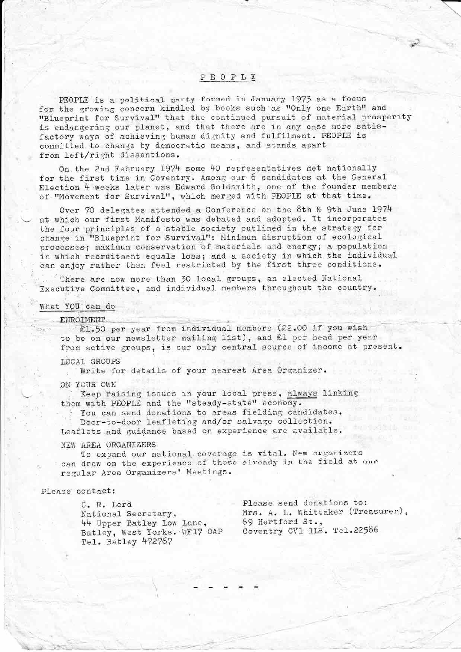# PEOPLE

PEOPLE is a political party formed in January 1973 as a focus for the growing concern kindled by books such as "Only one Earth" and "Blueprint for Survival" that the continued pursuit of material prosperity is endangering our planet, and that there are in any case more satisfactory ways of achieving human dignity and fulfilment. PEOPLE is committed to change by democratic means, and stands apart from left/right dissentions.

On the 2nd February 1974 some 40 representatives met nationally for the first time in Coventry. Among our 6 candidates at the General Election 4 weeks later was Edward Goldsmith, one of the founder members of "Movement for Survival", which merged with PEOPLE at that time.

Over 70 delegates attended a Conference on the 8th & 9th June 1974 at which our first Manifesto was debated and adopted. It incorporates the four principles of a stable society outlined in the strategy for change in "Blueprint for Survival": Minimum disruption of ecological processes; maximum conservation of materials and energy; a population in which recruitment equals loss; and a society in which the individual can enjoy rather than feel restricted by the first three conditions.

There are now more than 30 local groups, an elected National Executive Committee, and individual members throughout the country.

#### What YOU can do

ENROIMENT<br>  $E1.50$  per year from individual members (£2.00 if you wish to be on our newsletter mailing list), and £1 per head per year to be on our newsletter mailing list), and all per head per year<br>from active groups, is our only central source of income at present.

### LOCAL GROUPS

Write for details of your nearest Area Organizer.

#### . ON YOUR .OWN

Keep raising issues in your local press, always linking them with PEOPLE and the "steady-state" economy.

You can send donations to areas fielding candidates. Door-to-door leafleting and/or salvage collection.

Leaflets and guidance based on experience are available.

## NEW AREA ORGANIZERS

To expand our national coverage is vital. New organizers can draw on the experience of those alroady in the field at our regular Area Organizers' Meetings.

fish-iii: ""'. ;'-. . '- ' ' .-— - . ——. .-—=-"-' . . ...-' - . . --" - --—r . - -. . -—h\_ \_n: «av .1 ..' - .-.-.- .,y.-. \_ .-.'-\.-. \_ -\_ \_ \_\_ ~. . - \_ \_->--— . "'.'E'T'uvr - . '. -. \_ . . - ' - -. 4;. .." ' the state of the company of the state of the state of the state of the state of the state of the state of the state of the state of the state of the state of the state of the state of the state of the state of the state of

## Please contact:

44 Upper Batley Low Lane, 69 Hertford St.,<br>Batley, West Yorks. WF17 OAP Coventry CV1 1LB. Tel.22586 Batley, West Yorks. WF17 OAP Tel. Batley 472767

C. R. Lord Please send donations to: National Secretary, Mrs. A. L. Whittaker (Treasurer),<br>44 Upper Batley Low Lane, 69 Hertford St.,